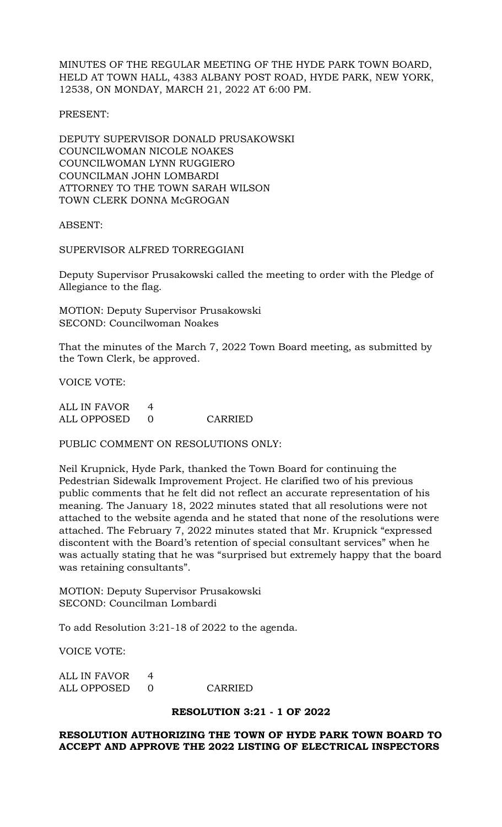MINUTES OF THE REGULAR MEETING OF THE HYDE PARK TOWN BOARD, HELD AT TOWN HALL, 4383 ALBANY POST ROAD, HYDE PARK, NEW YORK, 12538, ON MONDAY, MARCH 21, 2022 AT 6:00 PM.

PRESENT:

DEPUTY SUPERVISOR DONALD PRUSAKOWSKI COUNCILWOMAN NICOLE NOAKES COUNCILWOMAN LYNN RUGGIERO COUNCILMAN JOHN LOMBARDI ATTORNEY TO THE TOWN SARAH WILSON TOWN CLERK DONNA McGROGAN

ABSENT:

SUPERVISOR ALFRED TORREGGIANI

Deputy Supervisor Prusakowski called the meeting to order with the Pledge of Allegiance to the flag.

MOTION: Deputy Supervisor Prusakowski SECOND: Councilwoman Noakes

That the minutes of the March 7, 2022 Town Board meeting, as submitted by the Town Clerk, be approved.

VOICE VOTE:

| ALL IN FAVOR |         |
|--------------|---------|
| ALL OPPOSED  | CARRIED |

PUBLIC COMMENT ON RESOLUTIONS ONLY:

Neil Krupnick, Hyde Park, thanked the Town Board for continuing the Pedestrian Sidewalk Improvement Project. He clarified two of his previous public comments that he felt did not reflect an accurate representation of his meaning. The January 18, 2022 minutes stated that all resolutions were not attached to the website agenda and he stated that none of the resolutions were attached. The February 7, 2022 minutes stated that Mr. Krupnick "expressed discontent with the Board's retention of special consultant services" when he was actually stating that he was "surprised but extremely happy that the board was retaining consultants".

MOTION: Deputy Supervisor Prusakowski SECOND: Councilman Lombardi

To add Resolution 3:21-18 of 2022 to the agenda.

VOICE VOTE:

| ALL IN FAVOR |         |
|--------------|---------|
| ALL OPPOSED  | CARRIED |

### **RESOLUTION 3:21 - 1 OF 2022**

### **RESOLUTION AUTHORIZING THE TOWN OF HYDE PARK TOWN BOARD TO ACCEPT AND APPROVE THE 2022 LISTING OF ELECTRICAL INSPECTORS**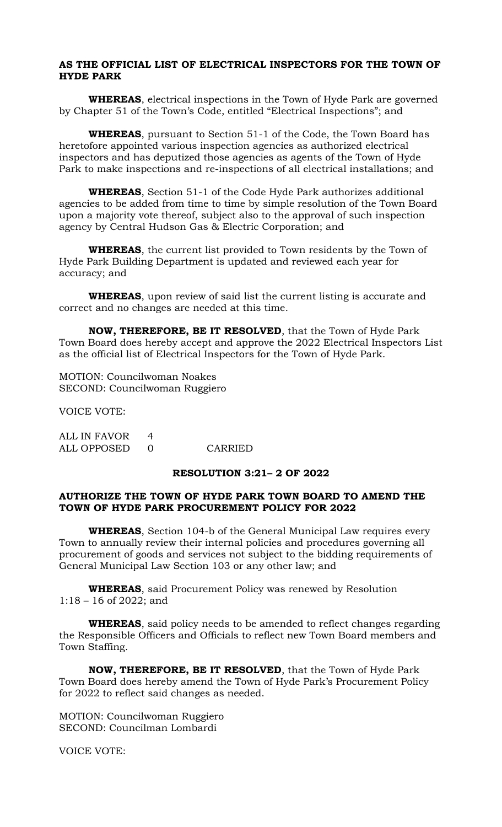### **AS THE OFFICIAL LIST OF ELECTRICAL INSPECTORS FOR THE TOWN OF HYDE PARK**

**WHEREAS**, electrical inspections in the Town of Hyde Park are governed by Chapter 51 of the Town's Code, entitled "Electrical Inspections"; and

**WHEREAS**, pursuant to Section 51-1 of the Code, the Town Board has heretofore appointed various inspection agencies as authorized electrical inspectors and has deputized those agencies as agents of the Town of Hyde Park to make inspections and re-inspections of all electrical installations; and

**WHEREAS**, Section 51-1 of the Code Hyde Park authorizes additional agencies to be added from time to time by simple resolution of the Town Board upon a majority vote thereof, subject also to the approval of such inspection agency by Central Hudson Gas & Electric Corporation; and

**WHEREAS**, the current list provided to Town residents by the Town of Hyde Park Building Department is updated and reviewed each year for accuracy; and

**WHEREAS**, upon review of said list the current listing is accurate and correct and no changes are needed at this time.

**NOW, THEREFORE, BE IT RESOLVED**, that the Town of Hyde Park Town Board does hereby accept and approve the 2022 Electrical Inspectors List as the official list of Electrical Inspectors for the Town of Hyde Park.

MOTION: Councilwoman Noakes SECOND: Councilwoman Ruggiero

VOICE VOTE:

ALL IN FAVOR 4 ALL OPPOSED 0 CARRIED

### **RESOLUTION 3:21– 2 OF 2022**

### **AUTHORIZE THE TOWN OF HYDE PARK TOWN BOARD TO AMEND THE TOWN OF HYDE PARK PROCUREMENT POLICY FOR 2022**

**WHEREAS**, Section 104-b of the General Municipal Law requires every Town to annually review their internal policies and procedures governing all procurement of goods and services not subject to the bidding requirements of General Municipal Law Section 103 or any other law; and

**WHEREAS**, said Procurement Policy was renewed by Resolution 1:18 – 16 of 2022; and

**WHEREAS**, said policy needs to be amended to reflect changes regarding the Responsible Officers and Officials to reflect new Town Board members and Town Staffing.

**NOW, THEREFORE, BE IT RESOLVED**, that the Town of Hyde Park Town Board does hereby amend the Town of Hyde Park's Procurement Policy for 2022 to reflect said changes as needed.

MOTION: Councilwoman Ruggiero SECOND: Councilman Lombardi

VOICE VOTE: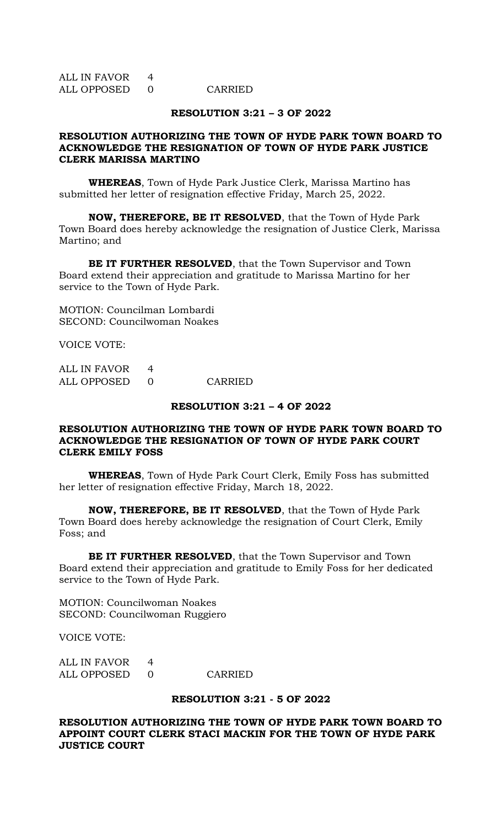| ALL IN FAVOR |         |
|--------------|---------|
| ALL OPPOSED  | CARRIED |

### **RESOLUTION 3:21 – 3 OF 2022**

### **RESOLUTION AUTHORIZING THE TOWN OF HYDE PARK TOWN BOARD TO ACKNOWLEDGE THE RESIGNATION OF TOWN OF HYDE PARK JUSTICE CLERK MARISSA MARTINO**

**WHEREAS**, Town of Hyde Park Justice Clerk, Marissa Martino has submitted her letter of resignation effective Friday, March 25, 2022.

**NOW, THEREFORE, BE IT RESOLVED**, that the Town of Hyde Park Town Board does hereby acknowledge the resignation of Justice Clerk, Marissa Martino; and

**BE IT FURTHER RESOLVED**, that the Town Supervisor and Town Board extend their appreciation and gratitude to Marissa Martino for her service to the Town of Hyde Park.

MOTION: Councilman Lombardi SECOND: Councilwoman Noakes

VOICE VOTE:

ALL IN FAVOR 4 ALL OPPOSED 0 CARRIED

### **RESOLUTION 3:21 – 4 OF 2022**

### **RESOLUTION AUTHORIZING THE TOWN OF HYDE PARK TOWN BOARD TO ACKNOWLEDGE THE RESIGNATION OF TOWN OF HYDE PARK COURT CLERK EMILY FOSS**

**WHEREAS**, Town of Hyde Park Court Clerk, Emily Foss has submitted her letter of resignation effective Friday, March 18, 2022.

**NOW, THEREFORE, BE IT RESOLVED**, that the Town of Hyde Park Town Board does hereby acknowledge the resignation of Court Clerk, Emily Foss; and

**BE IT FURTHER RESOLVED**, that the Town Supervisor and Town Board extend their appreciation and gratitude to Emily Foss for her dedicated service to the Town of Hyde Park.

MOTION: Councilwoman Noakes SECOND: Councilwoman Ruggiero

VOICE VOTE:

| ALL IN FAVOR |         |
|--------------|---------|
| ALL OPPOSED  | CARRIED |

### **RESOLUTION 3:21 - 5 OF 2022**

**RESOLUTION AUTHORIZING THE TOWN OF HYDE PARK TOWN BOARD TO APPOINT COURT CLERK STACI MACKIN FOR THE TOWN OF HYDE PARK JUSTICE COURT**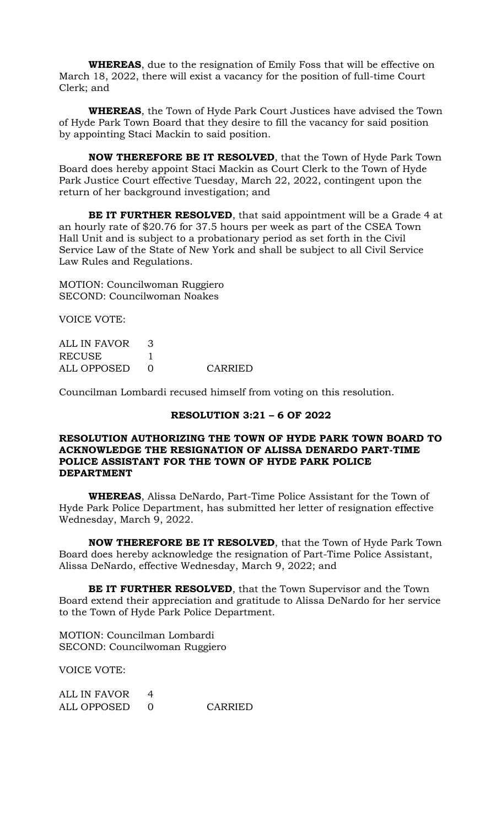**WHEREAS**, due to the resignation of Emily Foss that will be effective on March 18, 2022, there will exist a vacancy for the position of full-time Court Clerk; and

**WHEREAS**, the Town of Hyde Park Court Justices have advised the Town of Hyde Park Town Board that they desire to fill the vacancy for said position by appointing Staci Mackin to said position.

**NOW THEREFORE BE IT RESOLVED**, that the Town of Hyde Park Town Board does hereby appoint Staci Mackin as Court Clerk to the Town of Hyde Park Justice Court effective Tuesday, March 22, 2022, contingent upon the return of her background investigation; and

**BE IT FURTHER RESOLVED**, that said appointment will be a Grade 4 at an hourly rate of \$20.76 for 37.5 hours per week as part of the CSEA Town Hall Unit and is subject to a probationary period as set forth in the Civil Service Law of the State of New York and shall be subject to all Civil Service Law Rules and Regulations.

MOTION: Councilwoman Ruggiero SECOND: Councilwoman Noakes

VOICE VOTE:

| ALL IN FAVOR  |         |
|---------------|---------|
| <b>RECUSE</b> |         |
| ALL OPPOSED   | CARRIED |

Councilman Lombardi recused himself from voting on this resolution.

### **RESOLUTION 3:21 – 6 OF 2022**

### **RESOLUTION AUTHORIZING THE TOWN OF HYDE PARK TOWN BOARD TO ACKNOWLEDGE THE RESIGNATION OF ALISSA DENARDO PART-TIME POLICE ASSISTANT FOR THE TOWN OF HYDE PARK POLICE DEPARTMENT**

**WHEREAS**, Alissa DeNardo, Part-Time Police Assistant for the Town of Hyde Park Police Department, has submitted her letter of resignation effective Wednesday, March 9, 2022.

**NOW THEREFORE BE IT RESOLVED**, that the Town of Hyde Park Town Board does hereby acknowledge the resignation of Part-Time Police Assistant, Alissa DeNardo, effective Wednesday, March 9, 2022; and

**BE IT FURTHER RESOLVED**, that the Town Supervisor and the Town Board extend their appreciation and gratitude to Alissa DeNardo for her service to the Town of Hyde Park Police Department.

MOTION: Councilman Lombardi SECOND: Councilwoman Ruggiero

VOICE VOTE:

| ALL IN FAVOR |         |
|--------------|---------|
| ALL OPPOSED  | CARRIED |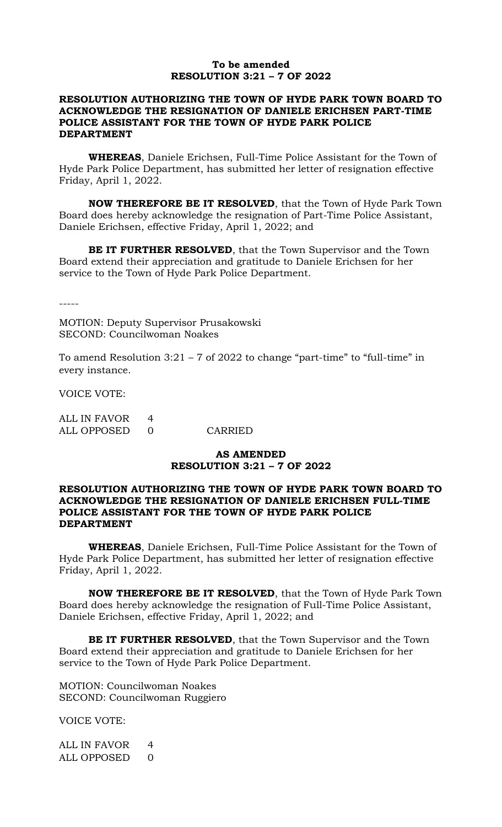### **To be amended RESOLUTION 3:21 – 7 OF 2022**

### **RESOLUTION AUTHORIZING THE TOWN OF HYDE PARK TOWN BOARD TO ACKNOWLEDGE THE RESIGNATION OF DANIELE ERICHSEN PART-TIME POLICE ASSISTANT FOR THE TOWN OF HYDE PARK POLICE DEPARTMENT**

**WHEREAS**, Daniele Erichsen, Full-Time Police Assistant for the Town of Hyde Park Police Department, has submitted her letter of resignation effective Friday, April 1, 2022.

**NOW THEREFORE BE IT RESOLVED**, that the Town of Hyde Park Town Board does hereby acknowledge the resignation of Part-Time Police Assistant, Daniele Erichsen, effective Friday, April 1, 2022; and

**BE IT FURTHER RESOLVED**, that the Town Supervisor and the Town Board extend their appreciation and gratitude to Daniele Erichsen for her service to the Town of Hyde Park Police Department.

-----

MOTION: Deputy Supervisor Prusakowski SECOND: Councilwoman Noakes

To amend Resolution  $3:21 - 7$  of  $2022$  to change "part-time" to "full-time" in every instance.

VOICE VOTE:

| ALL IN FAVOR  |         |
|---------------|---------|
| ALL OPPOSED 0 | CARRIED |

## **AS AMENDED RESOLUTION 3:21 – 7 OF 2022**

## **RESOLUTION AUTHORIZING THE TOWN OF HYDE PARK TOWN BOARD TO ACKNOWLEDGE THE RESIGNATION OF DANIELE ERICHSEN FULL-TIME POLICE ASSISTANT FOR THE TOWN OF HYDE PARK POLICE DEPARTMENT**

**WHEREAS**, Daniele Erichsen, Full-Time Police Assistant for the Town of Hyde Park Police Department, has submitted her letter of resignation effective Friday, April 1, 2022.

**NOW THEREFORE BE IT RESOLVED**, that the Town of Hyde Park Town Board does hereby acknowledge the resignation of Full-Time Police Assistant, Daniele Erichsen, effective Friday, April 1, 2022; and

**BE IT FURTHER RESOLVED**, that the Town Supervisor and the Town Board extend their appreciation and gratitude to Daniele Erichsen for her service to the Town of Hyde Park Police Department.

MOTION: Councilwoman Noakes SECOND: Councilwoman Ruggiero

VOICE VOTE:

ALL IN FAVOR 4 ALL OPPOSED 0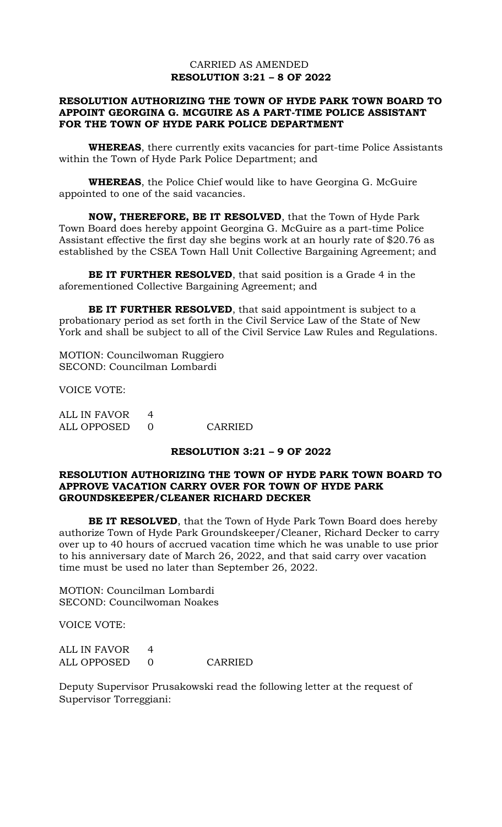## CARRIED AS AMENDED **RESOLUTION 3:21 – 8 OF 2022**

## **RESOLUTION AUTHORIZING THE TOWN OF HYDE PARK TOWN BOARD TO APPOINT GEORGINA G. MCGUIRE AS A PART-TIME POLICE ASSISTANT FOR THE TOWN OF HYDE PARK POLICE DEPARTMENT**

**WHEREAS**, there currently exits vacancies for part-time Police Assistants within the Town of Hyde Park Police Department; and

**WHEREAS**, the Police Chief would like to have Georgina G. McGuire appointed to one of the said vacancies.

**NOW, THEREFORE, BE IT RESOLVED**, that the Town of Hyde Park Town Board does hereby appoint Georgina G. McGuire as a part-time Police Assistant effective the first day she begins work at an hourly rate of \$20.76 as established by the CSEA Town Hall Unit Collective Bargaining Agreement; and

**BE IT FURTHER RESOLVED**, that said position is a Grade 4 in the aforementioned Collective Bargaining Agreement; and

**BE IT FURTHER RESOLVED**, that said appointment is subject to a probationary period as set forth in the Civil Service Law of the State of New York and shall be subject to all of the Civil Service Law Rules and Regulations.

MOTION: Councilwoman Ruggiero SECOND: Councilman Lombardi

VOICE VOTE:

| ALL IN FAVOR |         |
|--------------|---------|
| ALL OPPOSED  | CARRIED |

### **RESOLUTION 3:21 – 9 OF 2022**

### **RESOLUTION AUTHORIZING THE TOWN OF HYDE PARK TOWN BOARD TO APPROVE VACATION CARRY OVER FOR TOWN OF HYDE PARK GROUNDSKEEPER/CLEANER RICHARD DECKER**

**BE IT RESOLVED**, that the Town of Hyde Park Town Board does hereby authorize Town of Hyde Park Groundskeeper/Cleaner, Richard Decker to carry over up to 40 hours of accrued vacation time which he was unable to use prior to his anniversary date of March 26, 2022, and that said carry over vacation time must be used no later than September 26, 2022.

MOTION: Councilman Lombardi SECOND: Councilwoman Noakes

VOICE VOTE:

ALL IN FAVOR 4 ALL OPPOSED 0 CARRIED

Deputy Supervisor Prusakowski read the following letter at the request of Supervisor Torreggiani: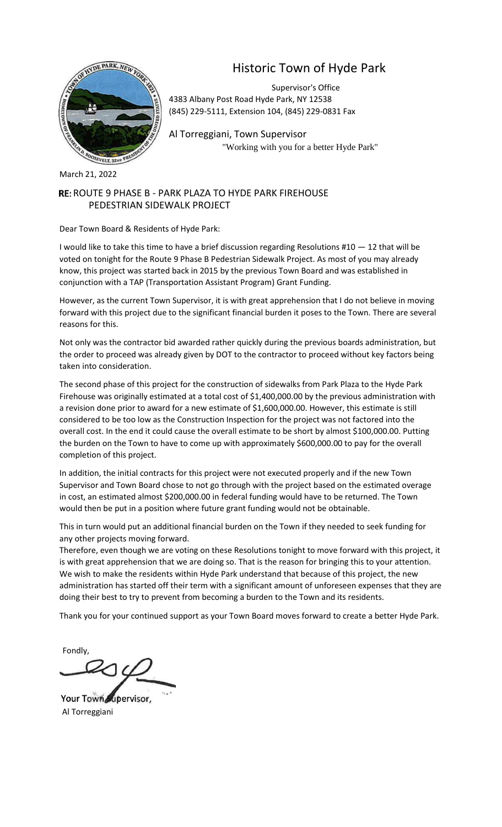

# Historic Town of Hyde Park

Supervisor's Office 4383 Albany Post Road Hyde Park, NY 12538 (845) 229-5111, Extension 104, (845) 229-0831 Fax

Al Torreggiani, Town Supervisor "Working with you for a better Hyde Park"

March 21, 2022

## RE: ROUTE 9 PHASE B - PARK PLAZA TO HYDE PARK FIREHOUSE PEDESTRIAN SIDEWALK PROJECT

Dear Town Board & Residents of Hyde Park:

I would like to take this time to have a brief discussion regarding Resolutions #10 — 12 that will be voted on tonight for the Route 9 Phase B Pedestrian Sidewalk Project. As most of you may already know, this project was started back in 2015 by the previous Town Board and was established in conjunction with a TAP (Transportation Assistant Program) Grant Funding.

However, as the current Town Supervisor, it is with great apprehension that I do not believe in moving forward with this project due to the significant financial burden it poses to the Town. There are several reasons for this.

Not only was the contractor bid awarded rather quickly during the previous boards administration, but the order to proceed was already given by DOT to the contractor to proceed without key factors being taken into consideration.

The second phase of this project for the construction of sidewalks from Park Plaza to the Hyde Park Firehouse was originally estimated at a total cost of \$1,400,000.00 by the previous administration with a revision done prior to award for a new estimate of \$1,600,000.00. However, this estimate is still considered to be too low as the Construction Inspection for the project was not factored into the overall cost. In the end it could cause the overall estimate to be short by almost \$100,000.00. Putting the burden on the Town to have to come up with approximately \$600,000.00 to pay for the overall completion of this project.

In addition, the initial contracts for this project were not executed properly and if the new Town Supervisor and Town Board chose to not go through with the project based on the estimated overage in cost, an estimated almost \$200,000.00 in federal funding would have to be returned. The Town would then be put in a position where future grant funding would not be obtainable.

This in turn would put an additional financial burden on the Town if they needed to seek funding for any other projects moving forward.

Therefore, even though we are voting on these Resolutions tonight to move forward with this project, it is with great apprehension that we are doing so. That is the reason for bringing this to your attention. We wish to make the residents within Hyde Park understand that because of this project, the new administration has started off their term with a significant amount of unforeseen expenses that they are doing their best to try to prevent from becoming a burden to the Town and its residents.

Thank you for your continued support as your Town Board moves forward to create a better Hyde Park.

Fondly,

Your Town Jupervisor, Al Torreggiani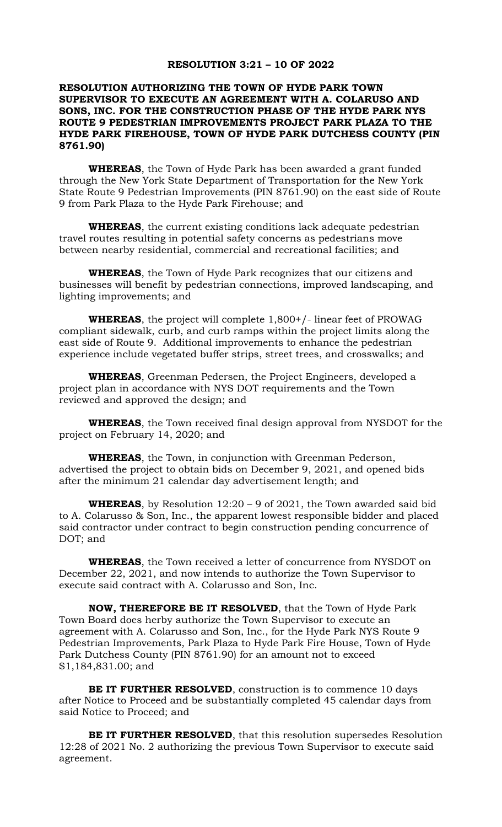### **RESOLUTION 3:21 – 10 OF 2022**

### **RESOLUTION AUTHORIZING THE TOWN OF HYDE PARK TOWN SUPERVISOR TO EXECUTE AN AGREEMENT WITH A. COLARUSO AND SONS, INC. FOR THE CONSTRUCTION PHASE OF THE HYDE PARK NYS ROUTE 9 PEDESTRIAN IMPROVEMENTS PROJECT PARK PLAZA TO THE HYDE PARK FIREHOUSE, TOWN OF HYDE PARK DUTCHESS COUNTY (PIN 8761.90)**

**WHEREAS**, the Town of Hyde Park has been awarded a grant funded through the New York State Department of Transportation for the New York State Route 9 Pedestrian Improvements (PIN 8761.90) on the east side of Route 9 from Park Plaza to the Hyde Park Firehouse; and

**WHEREAS**, the current existing conditions lack adequate pedestrian travel routes resulting in potential safety concerns as pedestrians move between nearby residential, commercial and recreational facilities; and

**WHEREAS**, the Town of Hyde Park recognizes that our citizens and businesses will benefit by pedestrian connections, improved landscaping, and lighting improvements; and

**WHEREAS**, the project will complete 1,800+/- linear feet of PROWAG compliant sidewalk, curb, and curb ramps within the project limits along the east side of Route 9. Additional improvements to enhance the pedestrian experience include vegetated buffer strips, street trees, and crosswalks; and

**WHEREAS**, Greenman Pedersen, the Project Engineers, developed a project plan in accordance with NYS DOT requirements and the Town reviewed and approved the design; and

**WHEREAS**, the Town received final design approval from NYSDOT for the project on February 14, 2020; and

**WHEREAS**, the Town, in conjunction with Greenman Pederson, advertised the project to obtain bids on December 9, 2021, and opened bids after the minimum 21 calendar day advertisement length; and

**WHEREAS**, by Resolution 12:20 – 9 of 2021, the Town awarded said bid to A. Colarusso & Son, Inc., the apparent lowest responsible bidder and placed said contractor under contract to begin construction pending concurrence of DOT; and

**WHEREAS**, the Town received a letter of concurrence from NYSDOT on December 22, 2021, and now intends to authorize the Town Supervisor to execute said contract with A. Colarusso and Son, Inc.

**NOW, THEREFORE BE IT RESOLVED**, that the Town of Hyde Park Town Board does herby authorize the Town Supervisor to execute an agreement with A. Colarusso and Son, Inc., for the Hyde Park NYS Route 9 Pedestrian Improvements, Park Plaza to Hyde Park Fire House, Town of Hyde Park Dutchess County (PIN 8761.90) for an amount not to exceed \$1,184,831.00; and

**BE IT FURTHER RESOLVED**, construction is to commence 10 days after Notice to Proceed and be substantially completed 45 calendar days from said Notice to Proceed; and

**BE IT FURTHER RESOLVED**, that this resolution supersedes Resolution 12:28 of 2021 No. 2 authorizing the previous Town Supervisor to execute said agreement.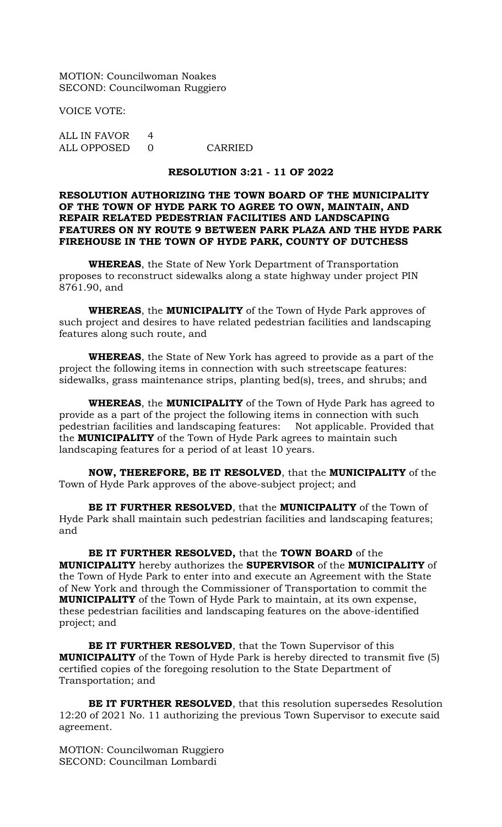MOTION: Councilwoman Noakes SECOND: Councilwoman Ruggiero

VOICE VOTE:

ALL IN FAVOR 4 ALL OPPOSED 0 CARRIED

### **RESOLUTION 3:21 - 11 OF 2022**

### **RESOLUTION AUTHORIZING THE TOWN BOARD OF THE MUNICIPALITY OF THE TOWN OF HYDE PARK TO AGREE TO OWN, MAINTAIN, AND REPAIR RELATED PEDESTRIAN FACILITIES AND LANDSCAPING FEATURES ON NY ROUTE 9 BETWEEN PARK PLAZA AND THE HYDE PARK FIREHOUSE IN THE TOWN OF HYDE PARK, COUNTY OF DUTCHESS**

**WHEREAS**, the State of New York Department of Transportation proposes to reconstruct sidewalks along a state highway under project PIN 8761.90, and

**WHEREAS**, the **MUNICIPALITY** of the Town of Hyde Park approves of such project and desires to have related pedestrian facilities and landscaping features along such route, and

**WHEREAS**, the State of New York has agreed to provide as a part of the project the following items in connection with such streetscape features: sidewalks, grass maintenance strips, planting bed(s), trees, and shrubs; and

**WHEREAS**, the **MUNICIPALITY** of the Town of Hyde Park has agreed to provide as a part of the project the following items in connection with such pedestrian facilities and landscaping features: Not applicable. Provided that the **MUNICIPALITY** of the Town of Hyde Park agrees to maintain such landscaping features for a period of at least 10 years.

**NOW, THEREFORE, BE IT RESOLVED**, that the **MUNICIPALITY** of the Town of Hyde Park approves of the above-subject project; and

**BE IT FURTHER RESOLVED**, that the **MUNICIPALITY** of the Town of Hyde Park shall maintain such pedestrian facilities and landscaping features; and

**BE IT FURTHER RESOLVED,** that the **TOWN BOARD** of the **MUNICIPALITY** hereby authorizes the **SUPERVISOR** of the **MUNICIPALITY** of the Town of Hyde Park to enter into and execute an Agreement with the State of New York and through the Commissioner of Transportation to commit the **MUNICIPALITY** of the Town of Hyde Park to maintain, at its own expense, these pedestrian facilities and landscaping features on the above-identified project; and

**BE IT FURTHER RESOLVED**, that the Town Supervisor of this **MUNICIPALITY** of the Town of Hyde Park is hereby directed to transmit five (5) certified copies of the foregoing resolution to the State Department of Transportation; and

**BE IT FURTHER RESOLVED**, that this resolution supersedes Resolution 12:20 of 2021 No. 11 authorizing the previous Town Supervisor to execute said agreement.

MOTION: Councilwoman Ruggiero SECOND: Councilman Lombardi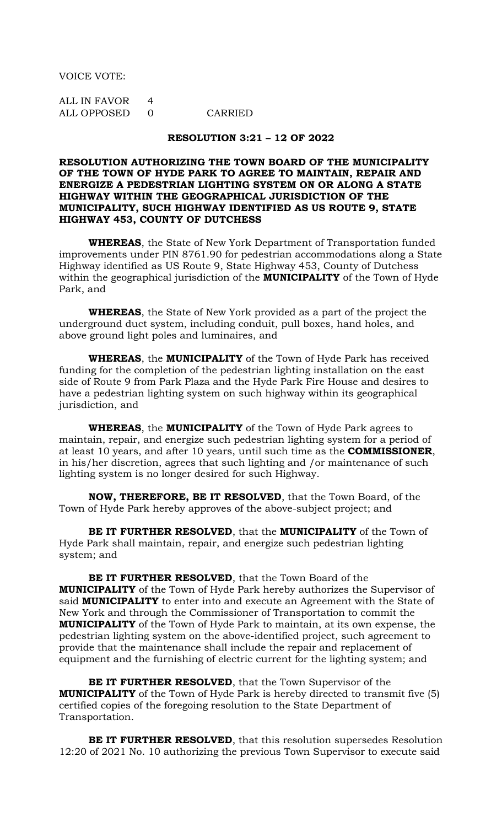VOICE VOTE:

ALL IN FAVOR 4 ALL OPPOSED 0 CARRIED

#### **RESOLUTION 3:21 – 12 OF 2022**

### **RESOLUTION AUTHORIZING THE TOWN BOARD OF THE MUNICIPALITY OF THE TOWN OF HYDE PARK TO AGREE TO MAINTAIN, REPAIR AND ENERGIZE A PEDESTRIAN LIGHTING SYSTEM ON OR ALONG A STATE HIGHWAY WITHIN THE GEOGRAPHICAL JURISDICTION OF THE MUNICIPALITY, SUCH HIGHWAY IDENTIFIED AS US ROUTE 9, STATE HIGHWAY 453, COUNTY OF DUTCHESS**

**WHEREAS**, the State of New York Department of Transportation funded improvements under PIN 8761.90 for pedestrian accommodations along a State Highway identified as US Route 9, State Highway 453, County of Dutchess within the geographical jurisdiction of the **MUNICIPALITY** of the Town of Hyde Park, and

**WHEREAS**, the State of New York provided as a part of the project the underground duct system, including conduit, pull boxes, hand holes, and above ground light poles and luminaires, and

**WHEREAS**, the **MUNICIPALITY** of the Town of Hyde Park has received funding for the completion of the pedestrian lighting installation on the east side of Route 9 from Park Plaza and the Hyde Park Fire House and desires to have a pedestrian lighting system on such highway within its geographical jurisdiction, and

**WHEREAS**, the **MUNICIPALITY** of the Town of Hyde Park agrees to maintain, repair, and energize such pedestrian lighting system for a period of at least 10 years, and after 10 years, until such time as the **COMMISSIONER**, in his/her discretion, agrees that such lighting and /or maintenance of such lighting system is no longer desired for such Highway.

**NOW, THEREFORE, BE IT RESOLVED**, that the Town Board, of the Town of Hyde Park hereby approves of the above-subject project; and

**BE IT FURTHER RESOLVED**, that the **MUNICIPALITY** of the Town of Hyde Park shall maintain, repair, and energize such pedestrian lighting system; and

**BE IT FURTHER RESOLVED**, that the Town Board of the **MUNICIPALITY** of the Town of Hyde Park hereby authorizes the Supervisor of said **MUNICIPALITY** to enter into and execute an Agreement with the State of New York and through the Commissioner of Transportation to commit the **MUNICIPALITY** of the Town of Hyde Park to maintain, at its own expense, the pedestrian lighting system on the above-identified project, such agreement to provide that the maintenance shall include the repair and replacement of equipment and the furnishing of electric current for the lighting system; and

**BE IT FURTHER RESOLVED**, that the Town Supervisor of the **MUNICIPALITY** of the Town of Hyde Park is hereby directed to transmit five (5) certified copies of the foregoing resolution to the State Department of Transportation.

**BE IT FURTHER RESOLVED**, that this resolution supersedes Resolution 12:20 of 2021 No. 10 authorizing the previous Town Supervisor to execute said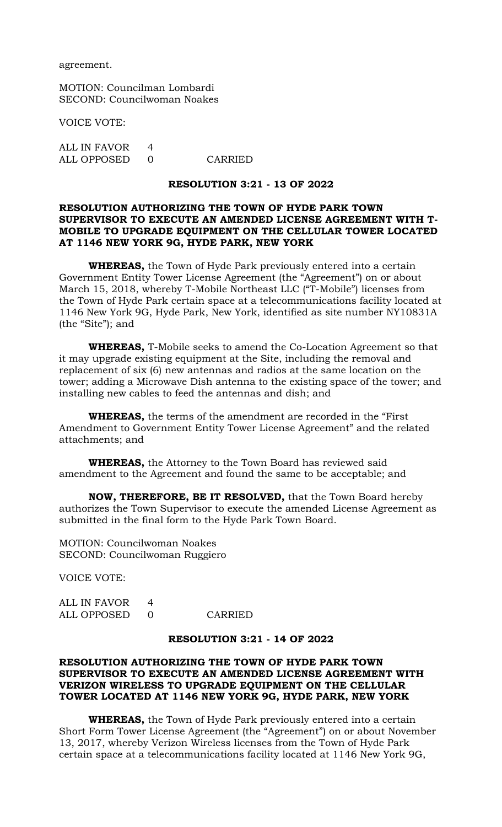agreement.

MOTION: Councilman Lombardi SECOND: Councilwoman Noakes

VOICE VOTE:

ALL IN FAVOR 4 ALL OPPOSED 0 CARRIED

### **RESOLUTION 3:21 - 13 OF 2022**

### **RESOLUTION AUTHORIZING THE TOWN OF HYDE PARK TOWN SUPERVISOR TO EXECUTE AN AMENDED LICENSE AGREEMENT WITH T-MOBILE TO UPGRADE EQUIPMENT ON THE CELLULAR TOWER LOCATED AT 1146 NEW YORK 9G, HYDE PARK, NEW YORK**

**WHEREAS,** the Town of Hyde Park previously entered into a certain Government Entity Tower License Agreement (the "Agreement") on or about March 15, 2018, whereby T-Mobile Northeast LLC ("T-Mobile") licenses from the Town of Hyde Park certain space at a telecommunications facility located at 1146 New York 9G, Hyde Park, New York, identified as site number NY10831A (the "Site"); and

**WHEREAS,** T-Mobile seeks to amend the Co-Location Agreement so that it may upgrade existing equipment at the Site, including the removal and replacement of six (6) new antennas and radios at the same location on the tower; adding a Microwave Dish antenna to the existing space of the tower; and installing new cables to feed the antennas and dish; and

**WHEREAS,** the terms of the amendment are recorded in the "First Amendment to Government Entity Tower License Agreement" and the related attachments; and

**WHEREAS,** the Attorney to the Town Board has reviewed said amendment to the Agreement and found the same to be acceptable; and

**NOW, THEREFORE, BE IT RESOLVED,** that the Town Board hereby authorizes the Town Supervisor to execute the amended License Agreement as submitted in the final form to the Hyde Park Town Board.

MOTION: Councilwoman Noakes SECOND: Councilwoman Ruggiero

VOICE VOTE:

ALL IN FAVOR 4 ALL OPPOSED 0 CARRIED

### **RESOLUTION 3:21 - 14 OF 2022**

### **RESOLUTION AUTHORIZING THE TOWN OF HYDE PARK TOWN SUPERVISOR TO EXECUTE AN AMENDED LICENSE AGREEMENT WITH VERIZON WIRELESS TO UPGRADE EQUIPMENT ON THE CELLULAR TOWER LOCATED AT 1146 NEW YORK 9G, HYDE PARK, NEW YORK**

**WHEREAS,** the Town of Hyde Park previously entered into a certain Short Form Tower License Agreement (the "Agreement") on or about November 13, 2017, whereby Verizon Wireless licenses from the Town of Hyde Park certain space at a telecommunications facility located at 1146 New York 9G,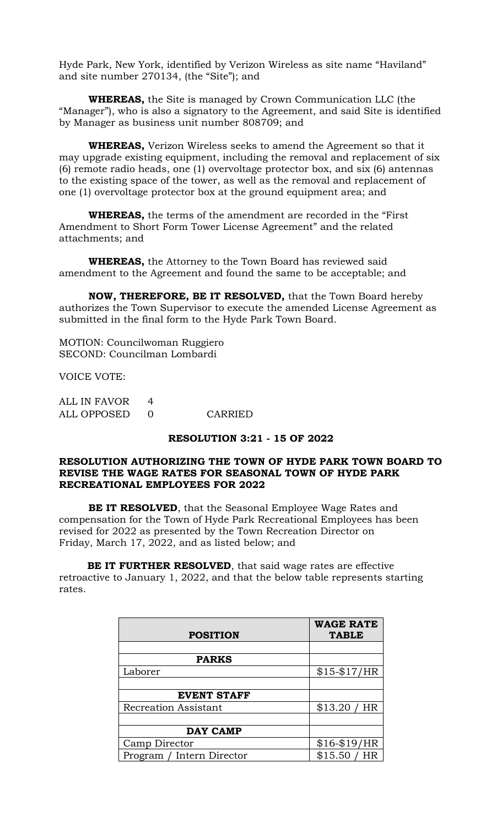Hyde Park, New York, identified by Verizon Wireless as site name "Haviland" and site number 270134, (the "Site"); and

**WHEREAS,** the Site is managed by Crown Communication LLC (the "Manager"), who is also a signatory to the Agreement, and said Site is identified by Manager as business unit number 808709; and

**WHEREAS,** Verizon Wireless seeks to amend the Agreement so that it may upgrade existing equipment, including the removal and replacement of six (6) remote radio heads, one (1) overvoltage protector box, and six (6) antennas to the existing space of the tower, as well as the removal and replacement of one (1) overvoltage protector box at the ground equipment area; and

**WHEREAS,** the terms of the amendment are recorded in the "First Amendment to Short Form Tower License Agreement" and the related attachments; and

**WHEREAS,** the Attorney to the Town Board has reviewed said amendment to the Agreement and found the same to be acceptable; and

**NOW, THEREFORE, BE IT RESOLVED,** that the Town Board hereby authorizes the Town Supervisor to execute the amended License Agreement as submitted in the final form to the Hyde Park Town Board.

MOTION: Councilwoman Ruggiero SECOND: Councilman Lombardi

VOICE VOTE:

| ALL IN FAVOR |         |
|--------------|---------|
| ALL OPPOSED  | CARRIED |

### **RESOLUTION 3:21 - 15 OF 2022**

### **RESOLUTION AUTHORIZING THE TOWN OF HYDE PARK TOWN BOARD TO REVISE THE WAGE RATES FOR SEASONAL TOWN OF HYDE PARK RECREATIONAL EMPLOYEES FOR 2022**

**BE IT RESOLVED**, that the Seasonal Employee Wage Rates and compensation for the Town of Hyde Park Recreational Employees has been revised for 2022 as presented by the Town Recreation Director on Friday, March 17, 2022, and as listed below; and

 **BE IT FURTHER RESOLVED**, that said wage rates are effective retroactive to January 1, 2022, and that the below table represents starting rates.

|                             | <b>WAGE RATE</b> |
|-----------------------------|------------------|
| <b>POSITION</b>             | <b>TABLE</b>     |
|                             |                  |
| <b>PARKS</b>                |                  |
| Laborer                     | $$15 - $17/HR$   |
|                             |                  |
| <b>EVENT STAFF</b>          |                  |
| <b>Recreation Assistant</b> | \$13.20 / HR     |
|                             |                  |
| <b>DAY CAMP</b>             |                  |
| Camp Director               | $$16 - $19/HR$   |
| Program / Intern Director   | \$15.50/         |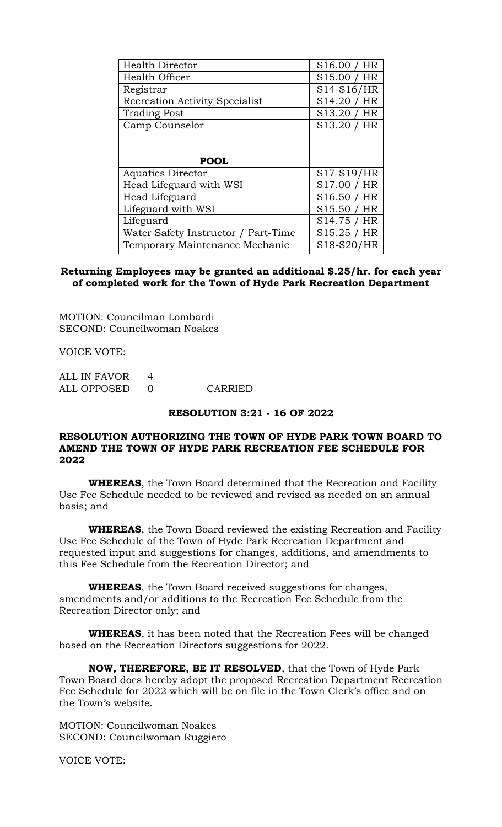| <b>Health Director</b>                | \$16.00/<br>HR       |
|---------------------------------------|----------------------|
| <b>Health Officer</b>                 | \$15.00/<br>HR       |
| Registrar                             | $$14 - $16/HR$       |
| <b>Recreation Activity Specialist</b> | \$14.20<br><b>HR</b> |
| <b>Trading Post</b>                   | \$13.20<br>HR        |
| Camp Counselor                        | \$13.20<br>HR        |
|                                       |                      |
|                                       |                      |
|                                       |                      |
| <b>POOL</b>                           |                      |
| <b>Aquatics Director</b>              | $$17 - $19/HR$       |
| Head Lifeguard with WSI               | \$17.00/<br>HR       |
| Head Lifeguard                        | \$16.50/<br>HR       |
| Lifeguard with WSI                    | \$15.50/<br>HR       |
| Lifeguard                             | \$14.75/<br>HR       |
| Water Safety Instructor / Part-Time   | \$15.25/<br>HR       |

### **Returning Employees may be granted an additional \$.25/hr. for each year of completed work for the Town of Hyde Park Recreation Department**

MOTION: Councilman Lombardi SECOND: Councilwoman Noakes

VOICE VOTE:

| ALL IN FAVOR | 4        |
|--------------|----------|
| ALL OPPOSED  | $\Omega$ |

**CARRIED** 

### **RESOLUTION 3:21 - 16 OF 2022**

### **RESOLUTION AUTHORIZING THE TOWN OF HYDE PARK TOWN BOARD TO AMEND THE TOWN OF HYDE PARK RECREATION FEE SCHEDULE FOR 2022**

**WHEREAS**, the Town Board determined that the Recreation and Facility Use Fee Schedule needed to be reviewed and revised as needed on an annual basis; and

**WHEREAS**, the Town Board reviewed the existing Recreation and Facility Use Fee Schedule of the Town of Hyde Park Recreation Department and requested input and suggestions for changes, additions, and amendments to this Fee Schedule from the Recreation Director; and

**WHEREAS**, the Town Board received suggestions for changes, amendments and/or additions to the Recreation Fee Schedule from the Recreation Director only; and

**WHEREAS**, it has been noted that the Recreation Fees will be changed based on the Recreation Directors suggestions for 2022.

**NOW, THEREFORE, BE IT RESOLVED**, that the Town of Hyde Park Town Board does hereby adopt the proposed Recreation Department Recreation Fee Schedule for 2022 which will be on file in the Town Clerk's office and on the Town's website.

MOTION: Councilwoman Noakes SECOND: Councilwoman Ruggiero

VOICE VOTE: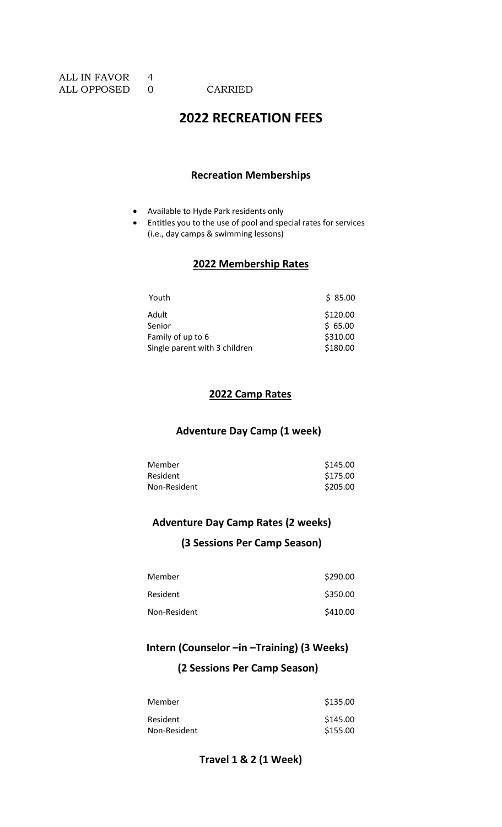# **2022 RECREATION FEES**

### **Recreation Memberships**

- Available to Hyde Park residents only
- Entitles you to the use of pool and special rates for services (i.e., day camps & swimming lessons)

# **2022 Membership Rates**

| Youth                         | \$85.00  |
|-------------------------------|----------|
| Adult                         | \$120.00 |
| Senior                        | \$65.00  |
| Family of up to 6             | \$310.00 |
| Single parent with 3 children | \$180.00 |

### **2022 Camp Rates**

## **Adventure Day Camp (1 week)**

| Member          | \$145.00 |
|-----------------|----------|
| <b>Resident</b> | \$175.00 |
| Non-Resident    | \$205.00 |

## **Adventure Day Camp Rates (2 weeks)**

## **(3 Sessions Per Camp Season)**

| Member       | \$290.00 |
|--------------|----------|
| Resident     | \$350.00 |
| Non-Resident | \$410.00 |

# **Intern (Counselor –in –Training) (3 Weeks)**

## **(2 Sessions Per Camp Season)**

| Member       | \$135.00 |
|--------------|----------|
| Resident     | \$145.00 |
| Non-Resident | \$155.00 |

## **Travel 1 & 2 (1 Week)**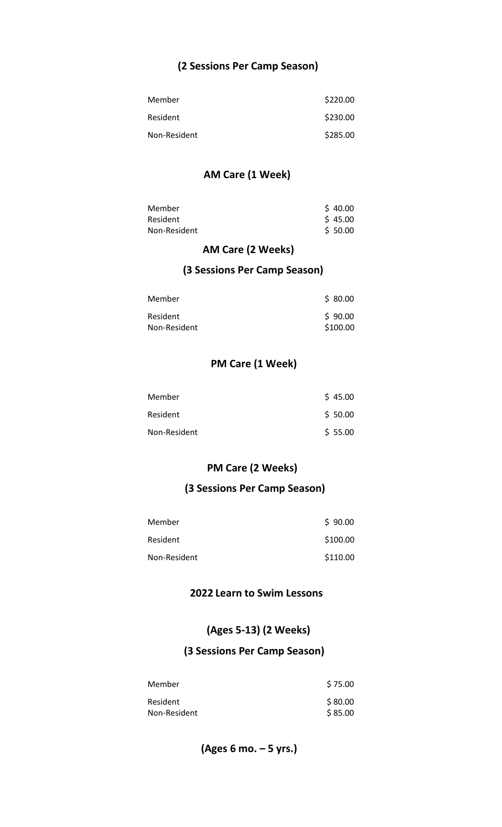## **(2 Sessions Per Camp Season)**

| Member       | \$220.00 |
|--------------|----------|
| Resident     | \$230.00 |
| Non-Resident | \$285.00 |

## **AM Care (1 Week)**

| Member       | \$40.00 |
|--------------|---------|
| Resident     | \$45.00 |
| Non-Resident | \$50.00 |

## **AM Care (2 Weeks)**

## **(3 Sessions Per Camp Season)**

| Member       | \$80.00  |
|--------------|----------|
| Resident     | \$90.00  |
| Non-Resident | \$100.00 |

## **PM Care (1 Week)**

| Member       | \$45.00 |
|--------------|---------|
| Resident     | \$50.00 |
| Non-Resident | \$55.00 |

## **PM Care (2 Weeks)**

## **(3 Sessions Per Camp Season)**

| Member       | \$90.00  |
|--------------|----------|
| Resident     | \$100.00 |
| Non-Resident | \$110.00 |

## **2022 Learn to Swim Lessons**

# **(Ages 5-13) (2 Weeks)**

# **(3 Sessions Per Camp Season)**

| Member       | \$75.00 |
|--------------|---------|
| Resident     | \$80.00 |
| Non-Resident | \$85.00 |

 **(Ages 6 mo. – 5 yrs.)**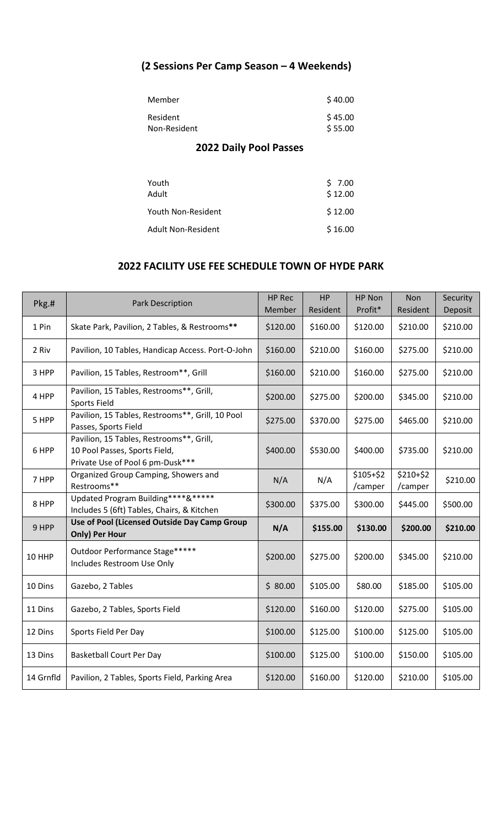# **(2 Sessions Per Camp Season – 4 Weekends)**

| Member       | \$40.00 |
|--------------|---------|
| Resident     | \$45.00 |
| Non-Resident | \$55.00 |

## **2022 Daily Pool Passes**

| Youth<br>Adult     | \$7.00<br>\$12.00 |
|--------------------|-------------------|
| Youth Non-Resident | \$12.00           |
| Adult Non-Resident | \$16.00           |

# **2022 FACILITY USE FEE SCHEDULE TOWN OF HYDE PARK**

| Pkg.#     | <b>Park Description</b>                                                                                       | <b>HP Rec</b><br>Member | <b>HP</b><br>Resident | HP Non<br>Profit*    | <b>Non</b><br>Resident | Security<br>Deposit |
|-----------|---------------------------------------------------------------------------------------------------------------|-------------------------|-----------------------|----------------------|------------------------|---------------------|
| 1 Pin     | Skate Park, Pavilion, 2 Tables, & Restrooms**                                                                 | \$120.00                | \$160.00              | \$120.00             | \$210.00               | \$210.00            |
| 2 Riv     | Pavilion, 10 Tables, Handicap Access. Port-O-John                                                             | \$160.00                | \$210.00              | \$160.00             | \$275.00               | \$210.00            |
| 3 HPP     | Pavilion, 15 Tables, Restroom**, Grill                                                                        | \$160.00                | \$210.00              | \$160.00             | \$275.00               | \$210.00            |
| 4 HPP     | Pavilion, 15 Tables, Restrooms**, Grill,<br><b>Sports Field</b>                                               | \$200.00                | \$275.00              | \$200.00             | \$345.00               | \$210.00            |
| 5 HPP     | Pavilion, 15 Tables, Restrooms**, Grill, 10 Pool<br>Passes, Sports Field                                      | \$275.00                | \$370.00              | \$275.00             | \$465.00               | \$210.00            |
| 6 HPP     | Pavilion, 15 Tables, Restrooms**, Grill,<br>10 Pool Passes, Sports Field,<br>Private Use of Pool 6 pm-Dusk*** | \$400.00                | \$530.00              | \$400.00             | \$735.00               | \$210.00            |
| 7 HPP     | Organized Group Camping, Showers and<br>Restrooms**                                                           | N/A                     | N/A                   | \$105+\$2<br>/camper | \$210+\$2<br>/camper   | \$210.00            |
| 8 HPP     | Updated Program Building****&*****<br>Includes 5 (6ft) Tables, Chairs, & Kitchen                              | \$300.00                | \$375.00              | \$300.00             | \$445.00               | \$500.00            |
| 9 HPP     | Use of Pool (Licensed Outside Day Camp Group<br>Only) Per Hour                                                | N/A                     | \$155.00              | \$130.00             | \$200.00               | \$210.00            |
| 10 HHP    | Outdoor Performance Stage*****<br>Includes Restroom Use Only                                                  | \$200.00                | \$275.00              | \$200.00             | \$345.00               | \$210.00            |
| 10 Dins   | Gazebo, 2 Tables                                                                                              | \$80.00                 | \$105.00              | \$80.00              | \$185.00               | \$105.00            |
| 11 Dins   | Gazebo, 2 Tables, Sports Field                                                                                | \$120.00                | \$160.00              | \$120.00             | \$275.00               | \$105.00            |
| 12 Dins   | Sports Field Per Day                                                                                          | \$100.00                | \$125.00              | \$100.00             | \$125.00               | \$105.00            |
| 13 Dins   | <b>Basketball Court Per Day</b>                                                                               | \$100.00                | \$125.00              | \$100.00             | \$150.00               | \$105.00            |
| 14 Grnfld | Pavilion, 2 Tables, Sports Field, Parking Area                                                                | \$120.00                | \$160.00              | \$120.00             | \$210.00               | \$105.00            |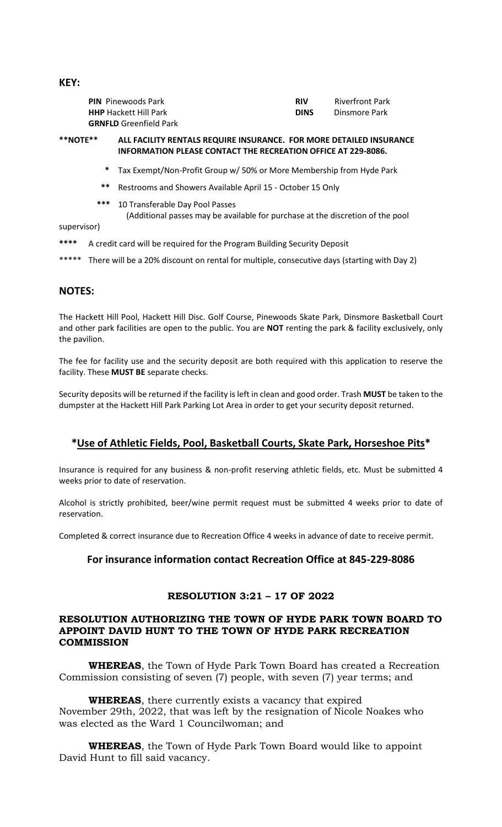**PIN** Pinewoods Park **RIV RIV** Riverfront Park **HHP** Hackett Hill Park **DINS** Dinsmore Park **GRNFLD** Greenfield Park

#### **\*\*NOTE\*\* ALL FACILITY RENTALS REQUIRE INSURANCE. FOR MORE DETAILED INSURANCE INFORMATION PLEASE CONTACT THE RECREATION OFFICE AT 229-8086.**

- **\*** Tax Exempt/Non-Profit Group w/ 50% or More Membership from Hyde Park
- **\*\*** Restrooms and Showers Available April 15 October 15 Only
- **\*\*\*** 10 Transferable Day Pool Passes
	- (Additional passes may be available for purchase at the discretion of the pool
- supervisor)
- **\*\*\*\*** A credit card will be required for the Program Building Security Deposit
- \*\*\*\*\* There will be a 20% discount on rental for multiple, consecutive days (starting with Day 2)

### **NOTES:**

The Hackett Hill Pool, Hackett Hill Disc. Golf Course, Pinewoods Skate Park, Dinsmore Basketball Court and other park facilities are open to the public. You are **NOT** renting the park & facility exclusively, only the pavilion.

The fee for facility use and the security deposit are both required with this application to reserve the facility. These **MUST BE** separate checks.

Security deposits will be returned if the facility is left in clean and good order. Trash **MUST** be taken to the dumpster at the Hackett Hill Park Parking Lot Area in order to get your security deposit returned.

## **\*Use of Athletic Fields, Pool, Basketball Courts, Skate Park, Horseshoe Pits\***

Insurance is required for any business & non-profit reserving athletic fields, etc. Must be submitted 4 weeks prior to date of reservation.

Alcohol is strictly prohibited, beer/wine permit request must be submitted 4 weeks prior to date of reservation.

Completed & correct insurance due to Recreation Office 4 weeks in advance of date to receive permit.

### **For insurance information contact Recreation Office at 845-229-8086**

## **RESOLUTION 3:21 – 17 OF 2022**

### **RESOLUTION AUTHORIZING THE TOWN OF HYDE PARK TOWN BOARD TO APPOINT DAVID HUNT TO THE TOWN OF HYDE PARK RECREATION COMMISSION**

**WHEREAS**, the Town of Hyde Park Town Board has created a Recreation Commission consisting of seven (7) people, with seven (7) year terms; and

**WHEREAS**, there currently exists a vacancy that expired November 29th, 2022, that was left by the resignation of Nicole Noakes who was elected as the Ward 1 Councilwoman; and

**WHEREAS**, the Town of Hyde Park Town Board would like to appoint David Hunt to fill said vacancy.

**KEY:**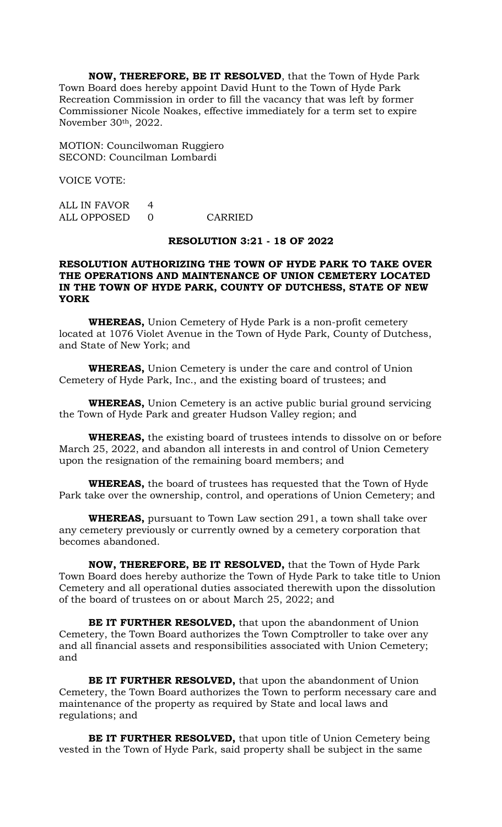**NOW, THEREFORE, BE IT RESOLVED**, that the Town of Hyde Park Town Board does hereby appoint David Hunt to the Town of Hyde Park Recreation Commission in order to fill the vacancy that was left by former Commissioner Nicole Noakes, effective immediately for a term set to expire November 30th, 2022.

MOTION: Councilwoman Ruggiero SECOND: Councilman Lombardi

VOICE VOTE:

ALL IN FAVOR 4 ALL OPPOSED 0 CARRIED

### **RESOLUTION 3:21 - 18 OF 2022**

### **RESOLUTION AUTHORIZING THE TOWN OF HYDE PARK TO TAKE OVER THE OPERATIONS AND MAINTENANCE OF UNION CEMETERY LOCATED IN THE TOWN OF HYDE PARK, COUNTY OF DUTCHESS, STATE OF NEW YORK**

**WHEREAS,** Union Cemetery of Hyde Park is a non-profit cemetery located at 1076 Violet Avenue in the Town of Hyde Park, County of Dutchess, and State of New York; and

**WHEREAS,** Union Cemetery is under the care and control of Union Cemetery of Hyde Park, Inc., and the existing board of trustees; and

**WHEREAS,** Union Cemetery is an active public burial ground servicing the Town of Hyde Park and greater Hudson Valley region; and

**WHEREAS,** the existing board of trustees intends to dissolve on or before March 25, 2022, and abandon all interests in and control of Union Cemetery upon the resignation of the remaining board members; and

**WHEREAS,** the board of trustees has requested that the Town of Hyde Park take over the ownership, control, and operations of Union Cemetery; and

**WHEREAS,** pursuant to Town Law section 291, a town shall take over any cemetery previously or currently owned by a cemetery corporation that becomes abandoned.

**NOW, THEREFORE, BE IT RESOLVED,** that the Town of Hyde Park Town Board does hereby authorize the Town of Hyde Park to take title to Union Cemetery and all operational duties associated therewith upon the dissolution of the board of trustees on or about March 25, 2022; and

**BE IT FURTHER RESOLVED,** that upon the abandonment of Union Cemetery, the Town Board authorizes the Town Comptroller to take over any and all financial assets and responsibilities associated with Union Cemetery; and

**BE IT FURTHER RESOLVED,** that upon the abandonment of Union Cemetery, the Town Board authorizes the Town to perform necessary care and maintenance of the property as required by State and local laws and regulations; and

**BE IT FURTHER RESOLVED,** that upon title of Union Cemetery being vested in the Town of Hyde Park, said property shall be subject in the same